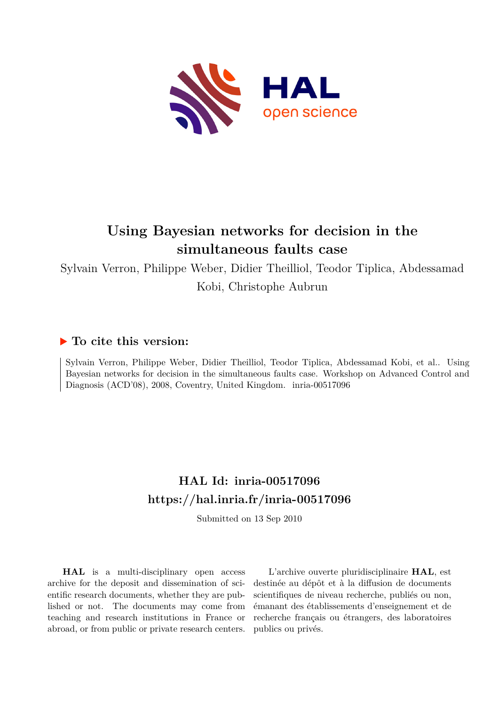

# **Using Bayesian networks for decision in the simultaneous faults case**

Sylvain Verron, Philippe Weber, Didier Theilliol, Teodor Tiplica, Abdessamad Kobi, Christophe Aubrun

# **To cite this version:**

Sylvain Verron, Philippe Weber, Didier Theilliol, Teodor Tiplica, Abdessamad Kobi, et al.. Using Bayesian networks for decision in the simultaneous faults case. Workshop on Advanced Control and Diagnosis (ACD'08), 2008, Coventry, United Kingdom. inria-00517096

# **HAL Id: inria-00517096 <https://hal.inria.fr/inria-00517096>**

Submitted on 13 Sep 2010

**HAL** is a multi-disciplinary open access archive for the deposit and dissemination of scientific research documents, whether they are published or not. The documents may come from teaching and research institutions in France or abroad, or from public or private research centers.

L'archive ouverte pluridisciplinaire **HAL**, est destinée au dépôt et à la diffusion de documents scientifiques de niveau recherche, publiés ou non, émanant des établissements d'enseignement et de recherche français ou étrangers, des laboratoires publics ou privés.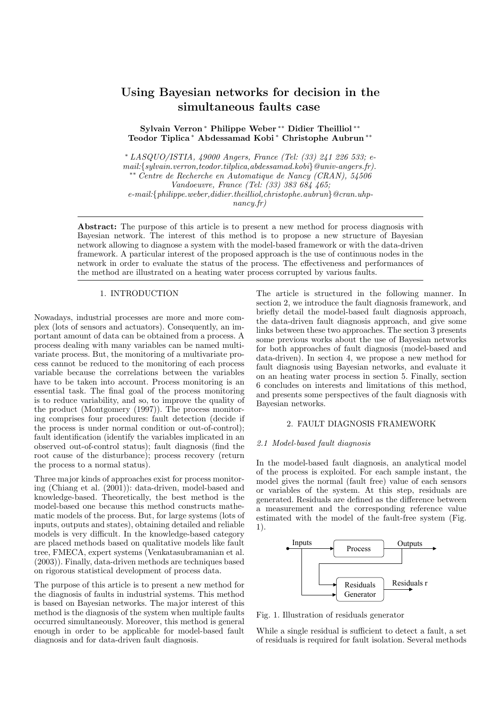# Using Bayesian networks for decision in the simultaneous faults case

Sylvain Verron <sup>∗</sup> Philippe Weber ∗∗ Didier Theilliol ∗∗ Teodor Tiplica <sup>∗</sup> Abdessamad Kobi <sup>∗</sup> Christophe Aubrun ∗∗

<sup>∗</sup> LASQUO/ISTIA, 49000 Angers, France (Tel: (33) 241 226 533; email:{sylvain.verron,teodor.tilplica,abdessamad.kobi}@univ-angers.fr). ∗∗ Centre de Recherche en Automatique de Nancy (CRAN), 54506 Vandoeuvre, France (Tel: (33) 383 684 465; e-mail:{philippe.weber,didier.theilliol,christophe.aubrun}@cran.uhpnancy.fr)

Abstract: The purpose of this article is to present a new method for process diagnosis with Bayesian network. The interest of this method is to propose a new structure of Bayesian network allowing to diagnose a system with the model-based framework or with the data-driven framework. A particular interest of the proposed approach is the use of continuous nodes in the network in order to evaluate the status of the process. The effectiveness and performances of the method are illustrated on a heating water process corrupted by various faults.

# 1. INTRODUCTION

Nowadays, industrial processes are more and more complex (lots of sensors and actuators). Consequently, an important amount of data can be obtained from a process. A process dealing with many variables can be named multivariate process. But, the monitoring of a multivariate process cannot be reduced to the monitoring of each process variable because the correlations between the variables have to be taken into account. Process monitoring is an essential task. The final goal of the process monitoring is to reduce variability, and so, to improve the quality of the product (Montgomery (1997)). The process monitoring comprises four procedures: fault detection (decide if the process is under normal condition or out-of-control); fault identification (identify the variables implicated in an observed out-of-control status); fault diagnosis (find the root cause of the disturbance); process recovery (return the process to a normal status).

Three major kinds of approaches exist for process monitoring (Chiang et al. (2001)): data-driven, model-based and knowledge-based. Theoretically, the best method is the model-based one because this method constructs mathematic models of the process. But, for large systems (lots of inputs, outputs and states), obtaining detailed and reliable models is very difficult. In the knowledge-based category are placed methods based on qualitative models like fault tree, FMECA, expert systems (Venkatasubramanian et al. (2003)). Finally, data-driven methods are techniques based on rigorous statistical development of process data.

The purpose of this article is to present a new method for the diagnosis of faults in industrial systems. This method is based on Bayesian networks. The major interest of this method is the diagnosis of the system when multiple faults occurred simultaneously. Moreover, this method is general enough in order to be applicable for model-based fault diagnosis and for data-driven fault diagnosis.

The article is structured in the following manner. In section 2, we introduce the fault diagnosis framework, and briefly detail the model-based fault diagnosis approach, the data-driven fault diagnosis approach, and give some links between these two approaches. The section 3 presents some previous works about the use of Bayesian networks for both approaches of fault diagnosis (model-based and data-driven). In section 4, we propose a new method for fault diagnosis using Bayesian networks, and evaluate it on an heating water process in section 5. Finally, section 6 concludes on interests and limitations of this method, and presents some perspectives of the fault diagnosis with Bayesian networks.

# 2. FAULT DIAGNOSIS FRAMEWORK

# 2.1 Model-based fault diagnosis

In the model-based fault diagnosis, an analytical model of the process is exploited. For each sample instant, the model gives the normal (fault free) value of each sensors or variables of the system. At this step, residuals are generated. Residuals are defined as the difference between a measurement and the corresponding reference value estimated with the model of the fault-free system (Fig. 1).



Fig. 1. Illustration of residuals generator

While a single residual is sufficient to detect a fault, a set of residuals is required for fault isolation. Several methods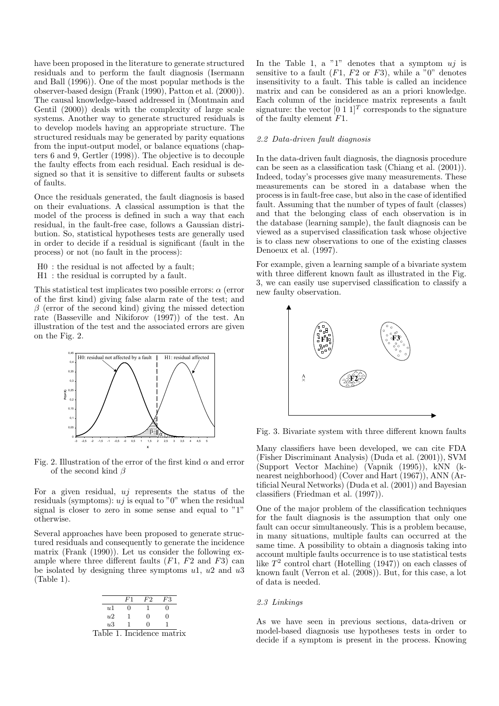have been proposed in the literature to generate structured residuals and to perform the fault diagnosis (Isermann and Ball (1996)). One of the most popular methods is the observer-based design (Frank (1990), Patton et al. (2000)). The causal knowledge-based addressed in (Montmain and Gentil (2000)) deals with the complexity of large scale systems. Another way to generate structured residuals is to develop models having an appropriate structure. The structured residuals may be generated by parity equations from the input-output model, or balance equations (chapters 6 and 9, Gertler (1998)). The objective is to decouple the faulty effects from each residual. Each residual is designed so that it is sensitive to different faults or subsets of faults.

Once the residuals generated, the fault diagnosis is based on their evaluations. A classical assumption is that the model of the process is defined in such a way that each residual, in the fault-free case, follows a Gaussian distribution. So, statistical hypotheses tests are generally used in order to decide if a residual is significant (fault in the process) or not (no fault in the process):

- H0 : the residual is not affected by a fault;
- H1 : the residual is corrupted by a fault.

This statistical test implicates two possible errors:  $\alpha$  (error of the first kind) giving false alarm rate of the test; and  $\beta$  (error of the second kind) giving the missed detection rate (Basseville and Nikiforov (1997)) of the test. An illustration of the test and the associated errors are given on the Fig. 2.



Fig. 2. Illustration of the error of the first kind  $\alpha$  and error of the second kind  $\beta$ 

For a given residual,  $ui$  represents the status of the residuals (symptoms):  $u_j$  is equal to "0" when the residual signal is closer to zero in some sense and equal to "1" otherwise.

Several approaches have been proposed to generate structured residuals and consequently to generate the incidence matrix (Frank (1990)). Let us consider the following example where three different faults  $(F1, F2 \text{ and } F3)$  can be isolated by designing three symptoms  $u_1$ ,  $u_2$  and  $u_3$ (Table 1).



In the Table 1, a "1" denotes that a symptom  $ui$  is sensitive to a fault  $(F1, F2 \text{ or } F3)$ , while a  $\overset{6}{\prime}0$ " denotes insensitivity to a fault. This table is called an incidence matrix and can be considered as an a priori knowledge. Each column of the incidence matrix represents a fault signature: the vector  $[0 \ 1 \ 1]^T$  corresponds to the signature of the faulty element F1.

# 2.2 Data-driven fault diagnosis

In the data-driven fault diagnosis, the diagnosis procedure can be seen as a classification task (Chiang et al. (2001)). Indeed, today's processes give many measurements. These measurements can be stored in a database when the process is in fault-free case, but also in the case of identified fault. Assuming that the number of types of fault (classes) and that the belonging class of each observation is in the database (learning sample), the fault diagnosis can be viewed as a supervised classification task whose objective is to class new observations to one of the existing classes Denoeux et al. (1997).

For example, given a learning sample of a bivariate system with three different known fault as illustrated in the Fig. 3, we can easily use supervised classification to classify a new faulty observation.



Fig. 3. Bivariate system with three different known faults

Many classifiers have been developed, we can cite FDA (Fisher Discriminant Analysis) (Duda et al. (2001)), SVM (Support Vector Machine) (Vapnik (1995)), kNN (knearest neighborhood) (Cover and Hart (1967)), ANN (Artificial Neural Networks) (Duda et al. (2001)) and Bayesian classifiers (Friedman et al. (1997)).

One of the major problem of the classification techniques for the fault diagnosis is the assumption that only one fault can occur simultaneously. This is a problem because, in many situations, multiple faults can occurred at the same time. A possibility to obtain a diagnosis taking into account multiple faults occurrence is to use statistical tests like  $T^2$  control chart (Hotelling (1947)) on each classes of known fault (Verron et al. (2008)). But, for this case, a lot of data is needed.

# 2.3 Linkings

As we have seen in previous sections, data-driven or model-based diagnosis use hypotheses tests in order to decide if a symptom is present in the process. Knowing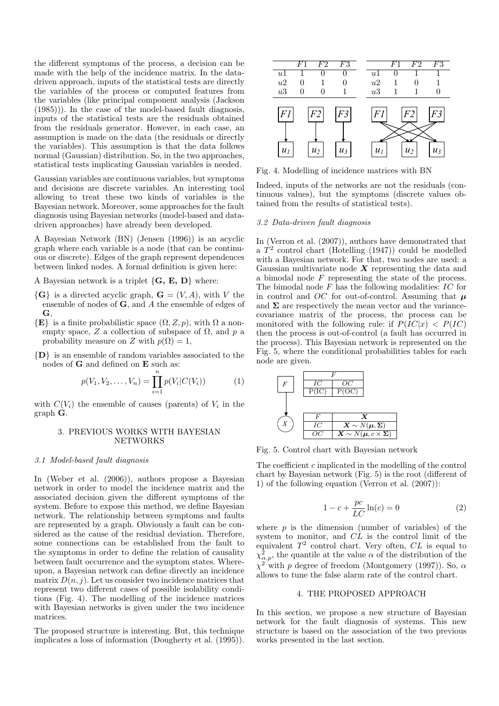the different symptoms of the process, a decision can be made with the help of the incidence matrix. In the datadriven approach, inputs of the statistical tests are directly the variables of the process or computed features from the variables (like principal component analysis (Jackson (1985))). In the case of the model-based fault diagnosis, inputs of the statistical tests are the residuals obtained from the residuals generator. However, in each case, an assumption is made on the data (the residuals or directly the variables). This assumption is that the data follows normal (Gaussian) distribution. So, in the two approaches, statistical tests implicating Gaussian variables is needed.

Gaussian variables are continuous variables, but symptoms and decisions are discrete variables. An interesting tool allowing to treat these two kinds of variables is the Bayesian network. Moreover, some approaches for the fault diagnosis using Bayesian networks (model-based and datadriven approaches) have already been developed.

A Bayesian Network (BN) (Jensen (1996)) is an acyclic graph where each variable is a node (that can be continuous or discrete). Edges of the graph represent dependences between linked nodes. A formal definition is given here:

A Bayesian network is a triplet  $\{{\bf G},~{\bf E},~{\bf D}\}$  where:

- $\{G\}$  is a directed acyclic graph,  $G = (V, A)$ , with V the ensemble of nodes of G, and A the ensemble of edges of G,
- $\{E\}$  is a finite probabilistic space  $(\Omega, Z, p)$ , with  $\Omega$  a nonempty space, Z a collection of subspace of  $\Omega$ , and p a probability measure on Z with  $p(\Omega) = 1$ ,

{D} is an ensemble of random variables associated to the nodes of G and defined on E such as:

$$
p(V_1, V_2, \dots, V_n) = \prod_{i=1}^n p(V_i|C(V_i))
$$
 (1)

with  $C(V_i)$  the ensemble of causes (parents) of  $V_i$  in the graph G.

# 3. PREVIOUS WORKS WITH BAYESIAN NETWORKS

#### 3.1 Model-based fault diagnosis

In (Weber et al. (2006)), authors propose a Bayesian network in order to model the incidence matrix and the associated decision given the different symptoms of the system. Before to expose this method, we define Bayesian network. The relationship between symptoms and faults are represented by a graph. Obviously a fault can be considered as the cause of the residual deviation. Therefore, some connections can be established from the fault to the symptoms in order to define the relation of causality between fault occurrence and the symptom states. Whereupon, a Bayesian network can define directly an incidence matrix  $D(n, j)$ . Let us consider two incidence matrices that represent two different cases of possible isolability conditions (Fig. 4). The modelling of the incidence matrices with Bayesian networks is given under the two incidence matrices.

The proposed structure is interesting. But, this technique implicates a loss of information (Dougherty et al. (1995)).



Fig. 4. Modelling of incidence matrices with BN

Indeed, inputs of the networks are not the residuals (continuous values), but the symptoms (discrete values obtained from the results of statistical tests).

# 3.2 Data-driven fault diagnosis

In (Verron et al. (2007)), authors have demonstrated that a  $T^2$  control chart (Hotelling (1947)) could be modelled with a Bayesian network. For that, two nodes are used: a Gaussian multivariate node  $\boldsymbol{X}$  representing the data and a bimodal node F representing the state of the process. The bimodal node  $F$  has the following modalities:  $IC$  for in control and OC for out-of-control. Assuming that  $\mu$ and  $\Sigma$  are respectively the mean vector and the variancecovariance matrix of the process, the process can be monitored with the following rule: if  $P(IC|x) < P(IC)$ then the process is out-of-control (a fault has occurred in the process). This Bayesian network is represented on the Fig. 5, where the conditional probabilities tables for each node are given.



Fig. 5. Control chart with Bayesian network

The coefficient c implicated in the modelling of the control chart by Bayesian network (Fig. 5) is the root (different of 1) of the following equation (Verron et al. (2007)):

$$
1 - c + \frac{pc}{LC} \ln(c) = 0 \tag{2}
$$

where  $p$  is the dimension (number of variables) of the system to monitor, and  $CL$  is the control limit of the equivalent  $T^2$  control chart. Very often,  $CL$  is equal to  $\chi^2_{\alpha,p}$ , the quantile at the value  $\alpha$  of the distribution of the  $\chi^2$  with p degree of freedom (Montgomery (1997)). So,  $\alpha$ allows to tune the false alarm rate of the control chart.

# 4. THE PROPOSED APPROACH

In this section, we propose a new structure of Bayesian network for the fault diagnosis of systems. This new structure is based on the association of the two previous works presented in the last section.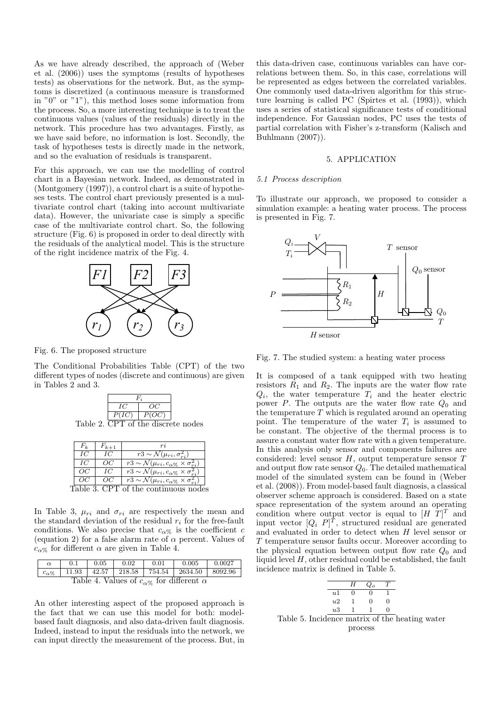As we have already described, the approach of (Weber et al. (2006)) uses the symptoms (results of hypotheses tests) as observations for the network. But, as the symptoms is discretized (a continuous measure is transformed in "0" or "1"), this method loses some information from the process. So, a more interesting technique is to treat the continuous values (values of the residuals) directly in the network. This procedure has two advantages. Firstly, as we have said before, no information is lost. Secondly, the task of hypotheses tests is directly made in the network, and so the evaluation of residuals is transparent.

For this approach, we can use the modelling of control chart in a Bayesian network. Indeed, as demonstrated in (Montgomery (1997)), a control chart is a suite of hypotheses tests. The control chart previously presented is a multivariate control chart (taking into account multivariate data). However, the univariate case is simply a specific case of the multivariate control chart. So, the following structure (Fig. 6) is proposed in order to deal directly with the residuals of the analytical model. This is the structure of the right incidence matrix of the Fig. 4.



Fig. 6. The proposed structure

The Conditional Probabilities Table (CPT) of the two different types of nodes (discrete and continuous) are given in Tables 2 and 3.



Table 2. CPT of the discrete nodes

| F 1. | $F_{k+1}$ |                                                                                |
|------|-----------|--------------------------------------------------------------------------------|
| IС   | IС        | $\overline{r3 \sim \mathcal{N}(\mu_{ri}, \sigma_{ri}^2)}$                      |
| IС   | OCl       | $\overline{r_3 \sim \mathcal{N}}(\mu_{ri}, c_{\alpha\%} \times \sigma_{ri}^2)$ |
| ΩC   | IС        | $\overline{r3 \sim} \mathcal{N}(\mu_{ri}, c_{\alpha\%} \times \sigma_{ri}^2)$  |
| OC.  | OC        | $\overline{r_3} \sim \mathcal{N}(\mu_{ri}, c_{\alpha\%} \times \sigma_{ri}^2)$ |
|      | -3. CPT o | f the continuous n                                                             |

In Table 3,  $\mu_{ri}$  and  $\sigma_{ri}$  are respectively the mean and the standard deviation of the residual  $r_i$  for the free-fault conditions. We also precise that  $c_{\alpha\%}$  is the coefficient c (equation 2) for a false alarm rate of  $\alpha$  percent. Values of  $c_{\alpha\%}$  for different  $\alpha$  are given in Table 4.

| $\alpha$                                                 | 0.1 | 0.05 | 0.02 | 0.01 | 0.005                                                           | 0.0027 |
|----------------------------------------------------------|-----|------|------|------|-----------------------------------------------------------------|--------|
| $c_{\alpha\%}$                                           |     |      |      |      | $11.93$   $42.57$   $218.58$   $754.54$   $2634.50$   $8092.96$ |        |
| Table 4. Values of $c_{\alpha\%}$ for different $\alpha$ |     |      |      |      |                                                                 |        |

An other interesting aspect of the proposed approach is the fact that we can use this model for both: modelbased fault diagnosis, and also data-driven fault diagnosis. Indeed, instead to input the residuals into the network, we can input directly the measurement of the process. But, in this data-driven case, continuous variables can have correlations between them. So, in this case, correlations will be represented as edges between the correlated variables. One commonly used data-driven algorithm for this structure learning is called PC (Spirtes et al. (1993)), which uses a series of statistical significance tests of conditional independence. For Gaussian nodes, PC uses the tests of partial correlation with Fisher's z-transform (Kalisch and Buhlmann (2007)).

# 5. APPLICATION

#### 5.1 Process description

To illustrate our approach, we proposed to consider a simulation example: a heating water process. The process is presented in Fig. 7.



Fig. 7. The studied system: a heating water process

It is composed of a tank equipped with two heating resistors  $R_1$  and  $R_2$ . The inputs are the water flow rate  $Q_i$ , the water temperature  $T_i$  and the heater electric power  $P$ . The outputs are the water flow rate  $Q_0$  and the temperature  $T$  which is regulated around an operating point. The temperature of the water  $T_i$  is assumed to be constant. The objective of the thermal process is to assure a constant water flow rate with a given temperature. In this analysis only sensor and components failures are considered: level sensor  $H$ , output temperature sensor  $T$ and output flow rate sensor  $Q_0$ . The detailed mathematical model of the simulated system can be found in (Weber et al. (2008)). From model-based fault diagnosis, a classical observer scheme approach is considered. Based on a state space representation of the system around an operating condition where output vector is equal to  $[H \ T]^T$  and input vector  $[Q_i \ P]^T$ , structured residual are generated and evaluated in order to detect when  $H$  level sensor or T temperature sensor faults occur. Moreover according to the physical equation between output flow rate  $Q_0$  and liquid level  $H$ , other residual could be established, the fault incidence matrix is defined in Table 5.

|                | H | $Q_0$ |                                |
|----------------|---|-------|--------------------------------|
| u <sub>1</sub> |   |       |                                |
| u2             |   |       |                                |
| u3             |   |       |                                |
|                |   |       | Incidence matrix of the heatin |

Table 5. Incidence matrix of the heating water process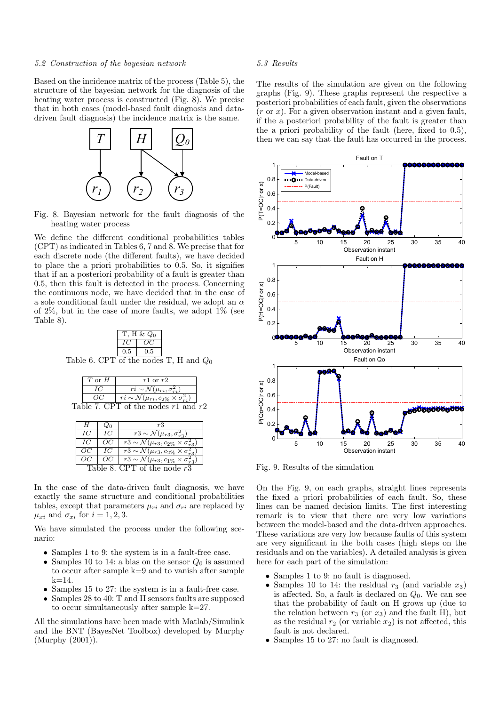# 5.2 Construction of the bayesian network

Based on the incidence matrix of the process (Table 5), the structure of the bayesian network for the diagnosis of the heating water process is constructed (Fig. 8). We precise that in both cases (model-based fault diagnosis and datadriven fault diagnosis) the incidence matrix is the same.



Fig. 8. Bayesian network for the fault diagnosis of the heating water process

We define the different conditional probabilities tables (CPT) as indicated in Tables 6, 7 and 8. We precise that for each discrete node (the different faults), we have decided to place the a priori probabilities to 0.5. So, it signifies that if an a posteriori probability of a fault is greater than 0.5, then this fault is detected in the process. Concerning the continuous node, we have decided that in the case of a sole conditional fault under the residual, we adopt an  $\alpha$ of  $2\%$ , but in the case of more faults, we adopt  $1\%$  (see Table 8).

|                                          | T, H & $Q_0$ |     |  |
|------------------------------------------|--------------|-----|--|
|                                          |              | OC. |  |
|                                          | 0.5          | 0.5 |  |
| Table 6. CPT of the nodes T, H and $Q_0$ |              |     |  |

| $T$ or $H$ | $r1$ or $r2$                                                             |  |
|------------|--------------------------------------------------------------------------|--|
|            | $ri \sim \mathcal{N}(\mu_{ri}, \sigma_{ri}^2)$                           |  |
|            | $\overline{ri \sim \mathcal{N}(\mu_{ri}, c_{2\%} \times \sigma_{ri}^2)}$ |  |
|            | Table 7. CPT of the nodes $r1$ and $r2$                                  |  |

| Н                             |     | rЗ                                                                        |  |  |
|-------------------------------|-----|---------------------------------------------------------------------------|--|--|
| IС                            | IC  | $\overline{r}3 \sim \mathcal{N}(\mu_{r3}, \sigma_{r3}^2)$                 |  |  |
| IС                            | OC. | $\overline{r}3 \sim \mathcal{N}(\mu_{r3}, c_{2\%} \times \sigma_{r3}^2)$  |  |  |
| OC                            | IC  | $\overline{r_3 \sim \mathcal{N}(\mu_{r3}, c_{2\%} \times \sigma_{r5}^2)}$ |  |  |
|                               |     | $\overline{r_3} \sim \mathcal{N}(\mu_{r3}, c_{1\%} \times \sigma_{r3}^2)$ |  |  |
| Table 8. CPT of the node $r3$ |     |                                                                           |  |  |

In the case of the data-driven fault diagnosis, we have exactly the same structure and conditional probabilities tables, except that parameters  $\mu_{ri}$  and  $\sigma_{ri}$  are replaced by  $\mu_{xi}$  and  $\sigma_{xi}$  for  $i = 1, 2, 3$ .

We have simulated the process under the following scenario:

- Samples 1 to 9: the system is in a fault-free case.
- Samples 10 to 14: a bias on the sensor  $Q_0$  is assumed to occur after sample k=9 and to vanish after sample  $k = 14$ .
- Samples 15 to 27: the system is in a fault-free case.
- Samples 28 to 40: T and H sensors faults are supposed to occur simultaneously after sample k=27.

All the simulations have been made with Matlab/Simulink and the BNT (BayesNet Toolbox) developed by Murphy (Murphy (2001)).

# 5.3 Results

The results of the simulation are given on the following graphs (Fig. 9). These graphs represent the respective a posteriori probabilities of each fault, given the observations  $(r \text{ or } x)$ . For a given observation instant and a given fault, if the a posteriori probability of the fault is greater than the a priori probability of the fault (here, fixed to 0.5), then we can say that the fault has occurred in the process.



Fig. 9. Results of the simulation

On the Fig. 9, on each graphs, straight lines represents the fixed a priori probabilities of each fault. So, these lines can be named decision limits. The first interesting remark is to view that there are very low variations between the model-based and the data-driven approaches. These variations are very low because faults of this system are very significant in the both cases (high steps on the residuals and on the variables). A detailed analysis is given here for each part of the simulation:

- Samples 1 to 9: no fault is diagnosed.
- Samples 10 to 14: the residual  $r_3$  (and variable  $x_3$ ) is affected. So, a fault is declared on  $Q_0$ . We can see that the probability of fault on H grows up (due to the relation between  $r_3$  (or  $x_3$ ) and the fault H), but as the residual  $r_2$  (or variable  $x_2$ ) is not affected, this fault is not declared.
- Samples 15 to 27: no fault is diagnosed.